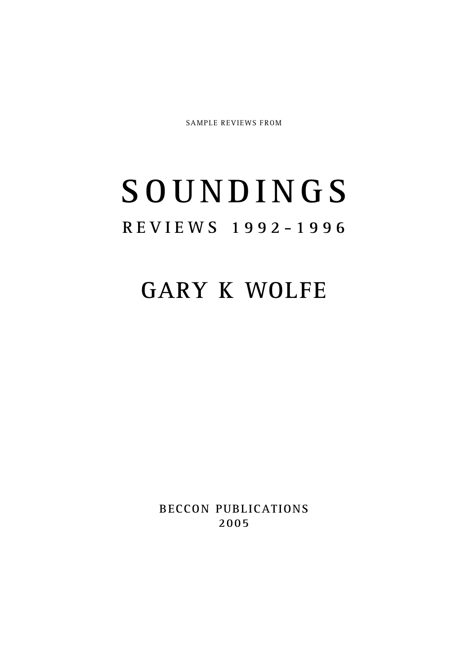SAMPLE REVIEWS FROM

# **S O U N D I N G S R E V I E W S 1 9 9 2 - 1 9 9 6**

## **GARY K WO L F E**

**BECCON PUBLICATIONS 2 0 0 5**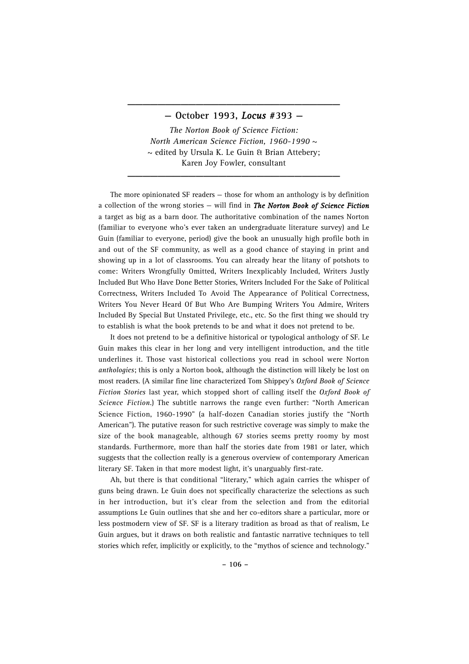### **— October 1993,** *Locus* **#393 —**

**\_\_\_\_\_\_\_\_\_\_\_\_\_\_\_\_\_\_\_\_\_\_\_\_\_\_\_\_**

*The Norton Book of Science Fiction: North American Science Fiction, 1960-1990* ~  $\sim$  edited by Ursula K. Le Guin & Brian Attebery; Karen Joy Fowler, consultant

The more opinionated SF readers — those for whom an anthology is by definition a collection of the wrong stories — will find in *The Norton Book of Science Fiction* a target as big as a barn door. The authoritative combination of the names Norton (familiar to everyone who's ever taken an undergraduate literature survey) and Le Guin (familiar to everyone, period) give the book an unusually high profile both in and out of the SF community, as well as a good chance of staying in print and showing up in a lot of classrooms. You can already hear the litany of potshots to come: Writers Wrongfully Omitted, Writers Inexplicably Included, Writers Justly Included But Who Have Done Better Stories, Writers Included For the Sake of Political Correctness, Writers Included To Avoid The Appearance of Political Correctness, Writers You Never Heard Of But Who Are Bumping Writers You Admire, Writers Included By Special But Unstated Privilege, etc., etc. So the first thing we should try to establish is what the book pretends to be and what it does not pretend to be.

It does not pretend to be a definitive historical or typological anthology of SF. Le Guin makes this clear in her long and very intelligent introduction, and the title underlines it. Those vast historical collections you read in school were Norton *anthologies*; this is only a Norton book, although the distinction will likely be lost on most readers. (A similar fine line characterized Tom Shippey's *Oxford Book of Science Fiction Stories* last year, which stopped short of calling itself the *Oxford Book of Science Fiction*.) The subtitle narrows the range even further: "North American Science Fiction, 1960-1990" (a half-dozen Canadian stories justify the "North American"). The putative reason for such restrictive coverage was simply to make the size of the book manageable, although 67 stories seems pretty roomy by most standards. Furthermore, more than half the stories date from 1981 or later, which suggests that the collection really is a generous overview of contemporary American literary SF. Taken in that more modest light, it's unarguably first-rate.

Ah, but there is that conditional "literary," which again carries the whisper of guns being drawn. Le Guin does not specifically characterize the selections as such in her introduction, but it's clear from the selection and from the editorial assumptions Le Guin outlines that she and her co-editors share a particular, more or less postmodern view of SF. SF is a literary tradition as broad as that of realism, Le Guin argues, but it draws on both realistic and fantastic narrative techniques to tell stories which refer, implicitly or explicitly, to the "mythos of science and technology."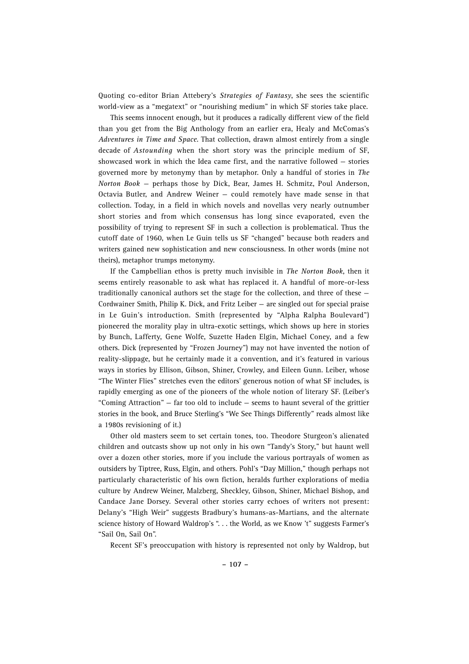Quoting co-editor Brian Attebery's *Strategies of Fantasy*, she sees the scientific world-view as a "megatext" or "nourishing medium" in which SF stories take place.

This seems innocent enough, but it produces a radically different view of the field than you get from the Big Anthology from an earlier era, Healy and McComas's *Adventures in Time and Space*. That collection, drawn almost entirely from a single decade of *Astounding* when the short story was the principle medium of SF, showcased work in which the Idea came first, and the narrative followed — stories governed more by metonymy than by metaphor. Only a handful of stories in *The Norton Book* — perhaps those by Dick, Bear, James H. Schmitz, Poul Anderson, Octavia Butler, and Andrew Weiner — could remotely have made sense in that collection. Today, in a field in which novels and novellas very nearly outnumber short stories and from which consensus has long since evaporated, even the possibility of trying to represent SF in such a collection is problematical. Thus the cutoff date of 1960, when Le Guin tells us SF "changed" because both readers and writers gained new sophistication and new consciousness. In other words (mine not theirs), metaphor trumps metonymy.

If the Campbellian ethos is pretty much invisible in *The Norton Book*, then it seems entirely reasonable to ask what has replaced it. A handful of more-or-less traditionally canonical authors set the stage for the collection, and three of these — Cordwainer Smith, Philip K. Dick, and Fritz Leiber — are singled out for special praise in Le Guin's introduction. Smith (represented by "Alpha Ralpha Boulevard") pioneered the morality play in ultra-exotic settings, which shows up here in stories by Bunch, Lafferty, Gene Wolfe, Suzette Haden Elgin, Michael Coney, and a few others. Dick (represented by "Frozen Journey") may not have invented the notion of reality-slippage, but he certainly made it a convention, and it's featured in various ways in stories by Ellison, Gibson, Shiner, Crowley, and Eileen Gunn. Leiber, whose "The Winter Flies" stretches even the editors' generous notion of what SF includes, is rapidly emerging as one of the pioneers of the whole notion of literary SF. (Leiber's "Coming Attraction" — far too old to include — seems to haunt several of the grittier stories in the book, and Bruce Sterling's "We See Things Differently" reads almost like a 1980s revisioning of it.)

Other old masters seem to set certain tones, too. Theodore Sturgeon's alienated children and outcasts show up not only in his own "Tandy's Story," but haunt well over a dozen other stories, more if you include the various portrayals of women as outsiders by Tiptree, Russ, Elgin, and others. Pohl's "Day Million," though perhaps not particularly characteristic of his own fiction, heralds further explorations of media culture by Andrew Weiner, Malzberg, Sheckley, Gibson, Shiner, Michael Bishop, and Candace Jane Dorsey. Several other stories carry echoes of writers not present: Delany's "High Weir" suggests Bradbury's humans-as-Martians, and the alternate science history of Howard Waldrop's ". . . the World, as we Know 't" suggests Farmer's "Sail On, Sail On".

Recent SF's preoccupation with history is represented not only by Waldrop, but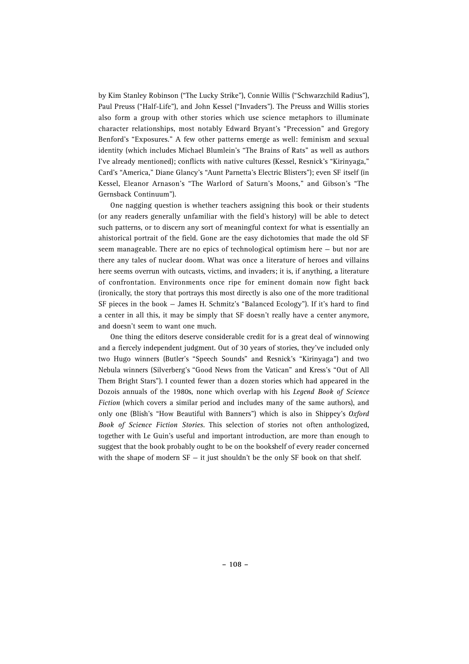by Kim Stanley Robinson ("The Lucky Strike"), Connie Willis ("Schwarzchild Radius"), Paul Preuss ("Half-Life"), and John Kessel ("Invaders"). The Preuss and Willis stories also form a group with other stories which use science metaphors to illuminate character relationships, most notably Edward Bryant's "Precession" and Gregory Benford's "Exposures." A few other patterns emerge as well: feminism and sexual identity (which includes Michael Blumlein's "The Brains of Rats" as well as authors I've already mentioned); conflicts with native cultures (Kessel, Resnick's "Kirinyaga," Card's "America," Diane Glancy's "Aunt Parnetta's Electric Blisters"); even SF itself (in Kessel, Eleanor Arnason's "The Warlord of Saturn's Moons," and Gibson's "The Gernsback Continuum").

One nagging question is whether teachers assigning this book or their students (or any readers generally unfamiliar with the field's history) will be able to detect such patterns, or to discern any sort of meaningful context for what is essentially an ahistorical portrait of the field. Gone are the easy dichotomies that made the old SF seem manageable. There are no epics of technological optimism here — but nor are there any tales of nuclear doom. What was once a literature of heroes and villains here seems overrun with outcasts, victims, and invaders; it is, if anything, a literature of confrontation. Environments once ripe for eminent domain now fight back (ironically, the story that portrays this most directly is also one of the more traditional SF pieces in the book — James H. Schmitz's "Balanced Ecology"). If it's hard to find a center in all this, it may be simply that SF doesn't really have a center anymore, and doesn't seem to want one much.

One thing the editors deserve considerable credit for is a great deal of winnowing and a fiercely independent judgment. Out of 30 years of stories, they've included only two Hugo winners (Butler's "Speech Sounds" and Resnick's "Kirinyaga") and two Nebula winners (Silverberg's "Good News from the Vatican" and Kress's "Out of All Them Bright Stars"). I counted fewer than a dozen stories which had appeared in the Dozois annuals of the 1980s, none which overlap with his *Legend Book of Science Fiction* (which covers a similar period and includes many of the same authors), and only one (Blish's "How Beautiful with Banners") which is also in Shippey's Oxford *Book of Science Fiction Stories*. This selection of stories not often anthologized, together with Le Guin's useful and important introduction, are more than enough to suggest that the book probably ought to be on the bookshelf of every reader concerned with the shape of modern  $SF - it$  just shouldn't be the only  $SF$  book on that shelf.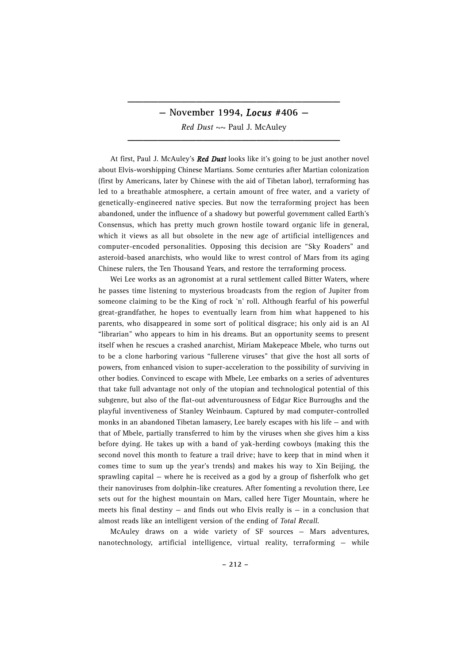#### **— November 1994,** *Locus* **#406 —**

**\_\_\_\_\_\_\_\_\_\_\_\_\_\_\_\_\_\_\_\_\_\_\_\_\_\_\_\_**

Red Dust  $\sim$  Paul J. McAuley

At first, Paul J. McAuley's *Red Dust* looks like it's going to be just another novel about Elvis-worshipping Chinese Martians. Some centuries after Martian colonization (first by Americans, later by Chinese with the aid of Tibetan labor), terraforming has led to a breathable atmosphere, a certain amount of free water, and a variety of genetically-engineered native species. But now the terraforming project has been abandoned, under the influence of a shadowy but powerful government called Earth's Consensus, which has pretty much grown hostile toward organic life in general, which it views as all but obsolete in the new age of artificial intelligences and computer-encoded personalities. Opposing this decision are "Sky Roaders" and asteroid-based anarchists, who would like to wrest control of Mars from its aging Chinese rulers, the Ten Thousand Years, and restore the terraforming process.

Wei Lee works as an agronomist at a rural settlement called Bitter Waters, where he passes time listening to mysterious broadcasts from the region of Jupiter from someone claiming to be the King of rock 'n' roll. Although fearful of his powerful great-grandfather, he hopes to eventually learn from him what happened to his parents, who disappeared in some sort of political disgrace; his only aid is an AI "librarian" who appears to him in his dreams. But an opportunity seems to present itself when he rescues a crashed anarchist, Miriam Makepeace Mbele, who turns out to be a clone harboring various "fullerene viruses" that give the host all sorts of powers, from enhanced vision to super-acceleration to the possibility of surviving in other bodies. Convinced to escape with Mbele, Lee embarks on a series of adventures that take full advantage not only of the utopian and technological potential of this subgenre, but also of the flat-out adventurousness of Edgar Rice Burroughs and the playful inventiveness of Stanley Weinbaum. Captured by mad computer-controlled monks in an abandoned Tibetan lamasery, Lee barely escapes with his life — and with that of Mbele, partially transferred to him by the viruses when she gives him a kiss before dying. He takes up with a band of yak-herding cowboys (making this the second novel this month to feature a trail drive; have to keep that in mind when it comes time to sum up the year's trends) and makes his way to Xin Beijing, the sprawling capital — where he is received as a god by a group of fisherfolk who get their nanoviruses from dolphin-like creatures. After fomenting a revolution there, Lee sets out for the highest mountain on Mars, called here Tiger Mountain, where he meets his final destiny  $-$  and finds out who Elvis really is  $-$  in a conclusion that almost reads like an intelligent version of the ending of *Total Recall*.

McAuley draws on a wide variety of SF sources — Mars adventures, nanotechnology, artificial intelligence, virtual reality, terraforming - while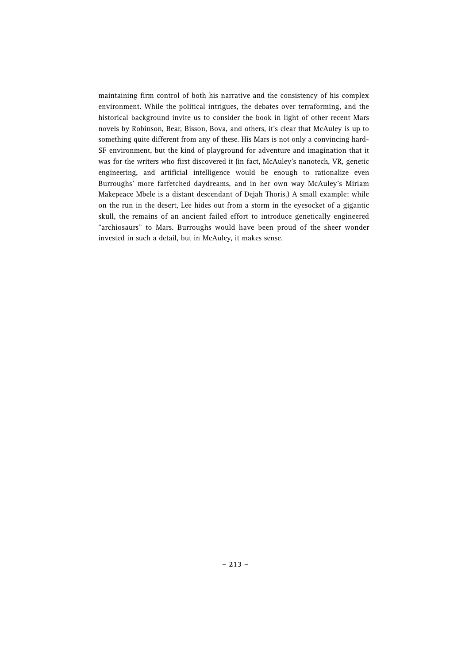maintaining firm control of both his narrative and the consistency of his complex environment. While the political intrigues, the debates over terraforming, and the historical background invite us to consider the book in light of other recent Mars novels by Robinson, Bear, Bisson, Bova, and others, it's clear that McAuley is up to something quite different from any of these. His Mars is not only a convincing hard-SF environment, but the kind of playground for adventure and imagination that it was for the writers who first discovered it (in fact, McAuley's nanotech, VR, genetic engineering, and artificial intelligence would be enough to rationalize even Burroughs' more farfetched daydreams, and in her own way McAuley's Miriam Makepeace Mbele is a distant descendant of Dejah Thoris.) A small example: while on the run in the desert, Lee hides out from a storm in the eyesocket of a gigantic skull, the remains of an ancient failed effort to introduce genetically engineered "archiosaurs" to Mars. Burroughs would have been proud of the sheer wonder invested in such a detail, but in McAuley, it makes sense.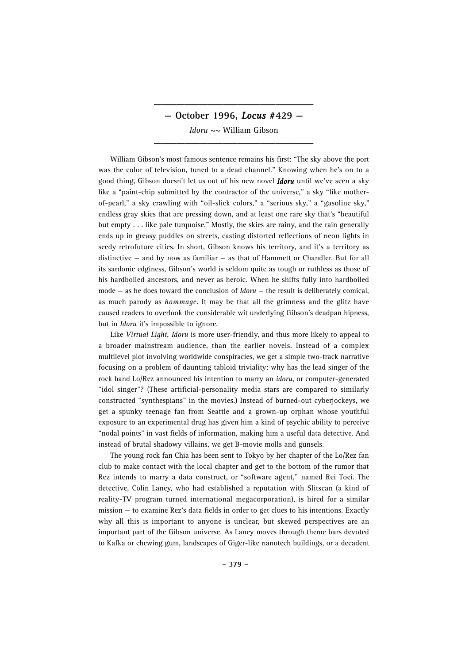### **— October 1996,** *Locus* **#429 —**

**\_\_\_\_\_\_\_\_\_\_\_\_\_\_\_\_\_\_\_\_\_**

*Idoru* ~~ William Gibson

William Gibson's most famous sentence remains his first: "The sky above the port was the color of television, tuned to a dead channel." Knowing when he's on to a good thing, Gibson doesn't let us out of his new novel *Idoru* until we've seen a sky like a "paint-chip submitted by the contractor of the universe," a sky "like motherof-pearl," a sky crawling with "oil-slick colors," a "serious sky," a "gasoline sky," endless gray skies that are pressing down, and at least one rare sky that's "beautiful but empty . . . like pale turquoise." Mostly, the skies are rainy, and the rain generally ends up in greasy puddles on streets, casting distorted reflections of neon lights in seedy retrofuture cities. In short, Gibson knows his territory, and it's a territory as distinctive — and by now as familiar — as that of Hammett or Chandler. But for all its sardonic edginess, Gibson's world is seldom quite as tough or ruthless as those of his hardboiled ancestors, and never as heroic. When he shifts fully into hardboiled mode — as he does toward the conclusion of *Idoru* — the result is deliberately comical, as much parody as *hommage*. It may be that all the grimness and the glitz have caused readers to overlook the considerable wit underlying Gibson's deadpan hipness, but in *Idoru* it's impossible to ignore.

Like *Virtual Light*, *Idoru* is more user-friendly, and thus more likely to appeal to a broader mainstream audience, than the earlier novels. Instead of a complex multilevel plot involving worldwide conspiracies, we get a simple two-track narrative focusing on a problem of daunting tabloid triviality: why has the lead singer of the rock band Lo/Rez announced his intention to marry an *idoru*, or computer-generated "idol singer"? (These artificial-personality media stars are compared to similarly constructed "synthespians" in the movies.) Instead of burned-out cyberjockeys, we get a spunky teenage fan from Seattle and a grown-up orphan whose youthful exposure to an experimental drug has given him a kind of psychic ability to perceive "nodal points" in vast fields of information, making him a useful data detective. And instead of brutal shadowy villains, we get B-movie molls and gunsels.

The young rock fan Chia has been sent to Tokyo by her chapter of the Lo/Rez fan club to make contact with the local chapter and get to the bottom of the rumor that Rez intends to marry a data construct, or "software agent," named Rei Toei. The detective, Colin Laney, who had established a reputation with Slitscan (a kind of reality-TV program turned international megacorporation), is hired for a similar mission — to examine Rez's data fields in order to get clues to his intentions. Exactly why all this is important to anyone is unclear, but skewed perspectives are an important part of the Gibson universe. As Laney moves through theme bars devoted to Kafka or chewing gum, landscapes of Giger-like nanotech buildings, or a decadent